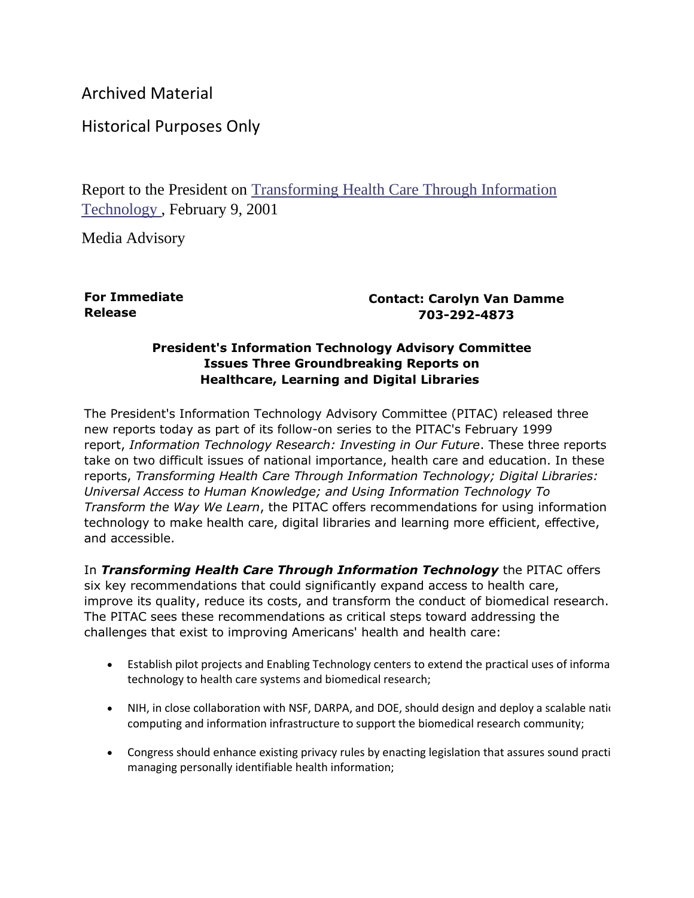Archived Material

Historical Purposes Only

Report to the President on [Transforming Health Care Through Information](https://www.nitrd.gov/Pubs/pitac/pitac-hc-9feb01.pdf)  [Technology](https://www.nitrd.gov/Pubs/pitac/pitac-hc-9feb01.pdf) , February 9, 2001

Media Advisory

**For Immediate Release**

**Contact: Carolyn Van Damme 703-292-4873**

## **President's Information Technology Advisory Committee Issues Three Groundbreaking Reports on Healthcare, Learning and Digital Libraries**

The President's Information Technology Advisory Committee (PITAC) released three new reports today as part of its follow-on series to the PITAC's February 1999 report, *Information Technology Research: Investing in Our Future*. These three reports take on two difficult issues of national importance, health care and education. In these reports, *Transforming Health Care Through Information Technology; Digital Libraries: Universal Access to Human Knowledge; and Using Information Technology To Transform the Way We Learn*, the PITAC offers recommendations for using information technology to make health care, digital libraries and learning more efficient, effective, and accessible.

In *Transforming Health Care Through Information Technology* the PITAC offers six key recommendations that could significantly expand access to health care, improve its quality, reduce its costs, and transform the conduct of biomedical research. The PITAC sees these recommendations as critical steps toward addressing the challenges that exist to improving Americans' health and health care:

- Establish pilot projects and Enabling Technology centers to extend the practical uses of information. technology to health care systems and biomedical research;
- NIH, in close collaboration with NSF, DARPA, and DOE, should design and deploy a scalable national computing and information infrastructure to support the biomedical research community;
- Congress should enhance existing privacy rules by enacting legislation that assures sound practi managing personally identifiable health information;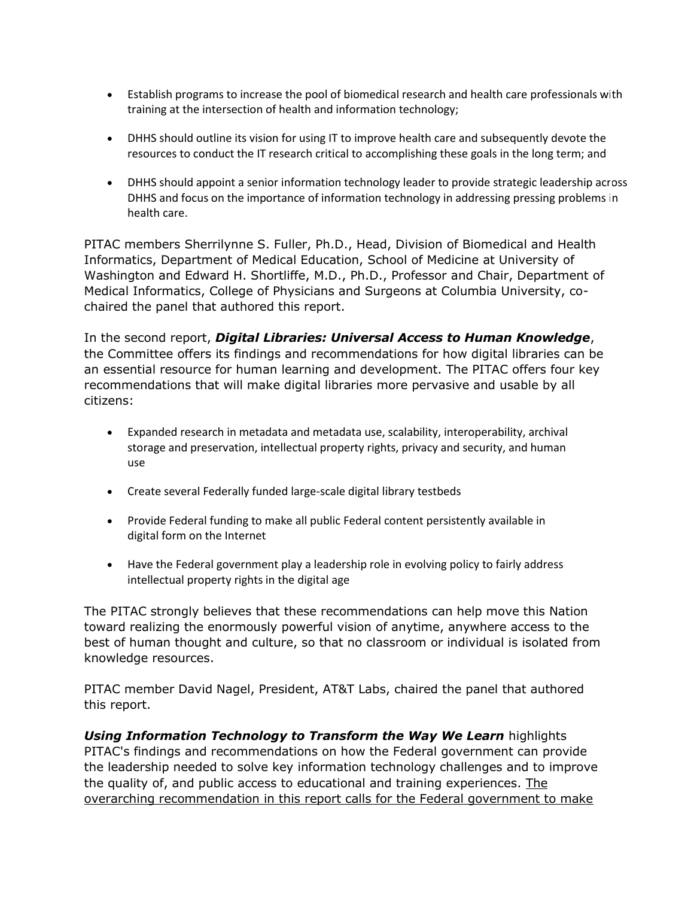- Establish programs to increase the pool of biomedical research and health care professionals with training at the intersection of health and information technology;
- DHHS should outline its vision for using IT to improve health care and subsequently devote the resources to conduct the IT research critical to accomplishing these goals in the long term; and
- DHHS should appoint a senior information technology leader to provide strategic leadership across DHHS and focus on the importance of information technology in addressing pressing problems in health care.

PITAC members Sherrilynne S. Fuller, Ph.D., Head, Division of Biomedical and Health Informatics, Department of Medical Education, School of Medicine at University of Washington and Edward H. Shortliffe, M.D., Ph.D., Professor and Chair, Department of Medical Informatics, College of Physicians and Surgeons at Columbia University, cochaired the panel that authored this report.

In the second report, *Digital Libraries: Universal Access to Human Knowledge*, the Committee offers its findings and recommendations for how digital libraries can be an essential resource for human learning and development. The PITAC offers four key recommendations that will make digital libraries more pervasive and usable by all citizens:

- Expanded research in metadata and metadata use, scalability, interoperability, archival storage and preservation, intellectual property rights, privacy and security, and human use
- Create several Federally funded large-scale digital library testbeds
- Provide Federal funding to make all public Federal content persistently available in digital form on the Internet
- Have the Federal government play a leadership role in evolving policy to fairly address intellectual property rights in the digital age

The PITAC strongly believes that these recommendations can help move this Nation toward realizing the enormously powerful vision of anytime, anywhere access to the best of human thought and culture, so that no classroom or individual is isolated from knowledge resources.

PITAC member David Nagel, President, AT&T Labs, chaired the panel that authored this report.

*Using Information Technology to Transform the Way We Learn* highlights PITAC's findings and recommendations on how the Federal government can provide the leadership needed to solve key information technology challenges and to improve the quality of, and public access to educational and training experiences. The overarching recommendation in this report calls for the Federal government to make